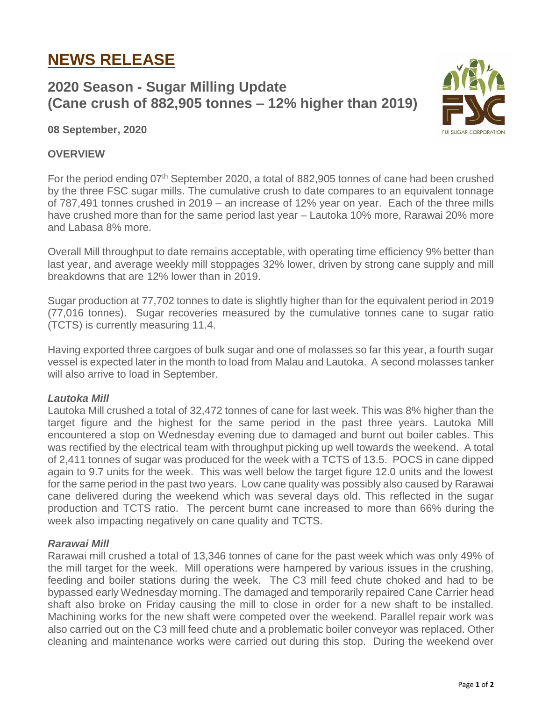# **NEWS RELEASE**

# **2020 Season - Sugar Milling Update (Cane crush of 882,905 tonnes – 12% higher than 2019)**



**08 September, 2020**

## **OVERVIEW**

For the period ending 07<sup>th</sup> September 2020, a total of 882,905 tonnes of cane had been crushed by the three FSC sugar mills. The cumulative crush to date compares to an equivalent tonnage of 787,491 tonnes crushed in 2019 – an increase of 12% year on year. Each of the three mills have crushed more than for the same period last year – Lautoka 10% more, Rarawai 20% more and Labasa 8% more.

Overall Mill throughput to date remains acceptable, with operating time efficiency 9% better than last year, and average weekly mill stoppages 32% lower, driven by strong cane supply and mill breakdowns that are 12% lower than in 2019.

Sugar production at 77,702 tonnes to date is slightly higher than for the equivalent period in 2019 (77,016 tonnes). Sugar recoveries measured by the cumulative tonnes cane to sugar ratio (TCTS) is currently measuring 11.4.

Having exported three cargoes of bulk sugar and one of molasses so far this year, a fourth sugar vessel is expected later in the month to load from Malau and Lautoka. A second molasses tanker will also arrive to load in September.

#### *Lautoka Mill*

Lautoka Mill crushed a total of 32,472 tonnes of cane for last week. This was 8% higher than the target figure and the highest for the same period in the past three years. Lautoka Mill encountered a stop on Wednesday evening due to damaged and burnt out boiler cables. This was rectified by the electrical team with throughput picking up well towards the weekend. A total of 2,411 tonnes of sugar was produced for the week with a TCTS of 13.5. POCS in cane dipped again to 9.7 units for the week. This was well below the target figure 12.0 units and the lowest for the same period in the past two years. Low cane quality was possibly also caused by Rarawai cane delivered during the weekend which was several days old. This reflected in the sugar production and TCTS ratio. The percent burnt cane increased to more than 66% during the week also impacting negatively on cane quality and TCTS.

#### *Rarawai Mill*

Rarawai mill crushed a total of 13,346 tonnes of cane for the past week which was only 49% of the mill target for the week. Mill operations were hampered by various issues in the crushing, feeding and boiler stations during the week. The C3 mill feed chute choked and had to be bypassed early Wednesday morning. The damaged and temporarily repaired Cane Carrier head shaft also broke on Friday causing the mill to close in order for a new shaft to be installed. Machining works for the new shaft were competed over the weekend. Parallel repair work was also carried out on the C3 mill feed chute and a problematic boiler conveyor was replaced. Other cleaning and maintenance works were carried out during this stop. During the weekend over